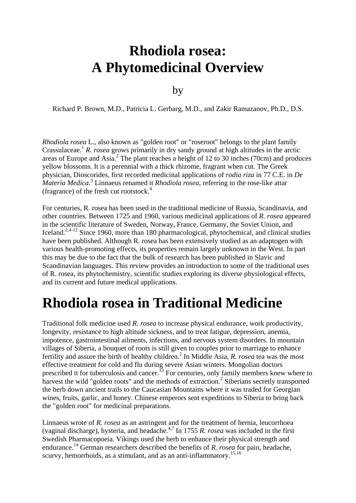## **Rhodiola rosea: A Phytomedicinal Overview**

by

Richard P. Brown, M.D., Patricia L. Gerbarg, M.D., and Zakir Ramazanov, Ph.D., D.S.

*Rhodiola rosea* L., also known as "golden root" or "roseroot" belongs to the plant family Crassulaceae.<sup>1</sup> *R. rosea* grows primarily in dry sandy ground at high altitudes in the arctic areas of Europe and Asia.<sup>2</sup> The plant reaches a height of 12 to 30 inches (70cm) and produces yellow blossoms. It is a perennial with a thick rhizome, fragrant when cut. The Greek physician, Dioscorides, first recorded medicinal applications of *rodia riza* in 77 C.E. in *De Materia Medica.*<sup>3</sup> Linnaeus renamed it *Rhodiola rosea*, referring to the rose-like attar (fragrance) of the fresh cut rootstock.<sup>4</sup>

For centuries, R. rosea has been used in the traditional medicine of Russia, Scandinavia, and other countries. Between 1725 and 1960, various medicinal applications of *R. rosea* appeared in the scientific literature of Sweden, Norway, France, Germany, the Soviet Union, and Iceland.2,4-12 Since 1960, more than 180 pharmacological, phytochemical, and clinical studies have been published. Although R. rosea has been extensively studied as an adaptogen with various health-promoting effects, its properties remain largely unknown in the West. In part this may be due to the fact that the bulk of research has been published in Slavic and Scandinavian languages. This review provides an introduction to some of the traditional uses of R. rosea, its phytochemistry, scientific studies exploring its diverse physiological effects, and its current and future medical applications.

## **Rhodiola rosea in Traditional Medicine**

Traditional folk medicine used *R. rosea* to increase physical endurance, work productivity, longevity, resistance to high altitude sickness, and to treat fatigue, depression, anemia, impotence, gastrointestinal ailments, infections, and nervous system disorders. In mountain villages of Siberia, a bouquet of roots is still given to couples prior to marriage to enhance fertility and assure the birth of healthy children.<sup>2</sup> In Middle Asia, *R. rosea* tea was the most effective treatment for cold and flu during severe Asian winters. Mongolian doctors prescribed it for tuberculosis and cancer.<sup>13</sup> For centuries, only family members knew where to harvest the wild "golden roots" and the methods of extraction.<sup>2</sup> Siberians secretly transported the herb down ancient trails to the Caucasian Mountains where it was traded for Georgian wines, fruits, garlic, and honey. Chinese emperors sent expeditions to Siberia to bring back the "golden root" for medicinal preparations.

Linnaeus wrote of *R. rosea* as an astringent and for the treatment of hernia, leucorrhoea (vaginal discharge), hysteria, and headache.4,7 In 1755 *R. rosea* was included in the first Swedish Pharmacopoeia. Vikings used the herb to enhance their physical strength and endurance.<sup>14</sup> German researchers described the benefits of *R. rosea* for pain, headache, scurvy, hemorrhoids, as a stimulant, and as an anti-inflammatory.<sup>15,16</sup>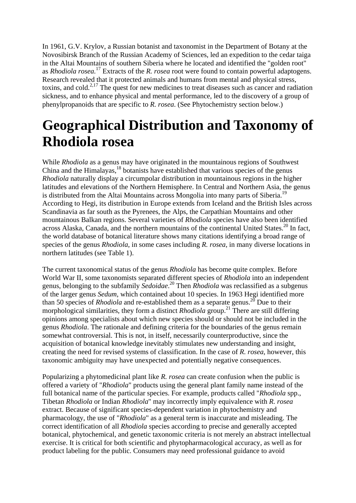In 1961, G.V. Krylov, a Russian botanist and taxonomist in the Department of Botany at the Novosibirsk Branch of the Russian Academy of Sciences, led an expedition to the cedar taiga in the Altai Mountains of southern Siberia where he located and identified the "golden root" as *Rhodiola rosea.*17 Extracts of the *R. rosea* root were found to contain powerful adaptogens. Research revealed that it protected animals and humans from mental and physical stress, toxins, and cold.<sup>2,17</sup> The quest for new medicines to treat diseases such as cancer and radiation sickness, and to enhance physical and mental performance, led to the discovery of a group of phenylpropanoids that are specific to *R. rosea*. (See Phytochemistry section below.)

# **Geographical Distribution and Taxonomy of Rhodiola rosea**

While *Rhodiola* as a genus may have originated in the mountainous regions of Southwest China and the Himalayas,<sup>18</sup> botanists have established that various species of the genus *Rhodiola* naturally display a circumpolar distribution in mountainous regions in the higher latitudes and elevations of the Northern Hemisphere. In Central and Northern Asia, the genus is distributed from the Altai Mountains across Mongolia into many parts of Siberia.<sup>19</sup> According to Hegi, its distribution in Europe extends from Iceland and the British Isles across Scandinavia as far south as the Pyrenees, the Alps, the Carpathian Mountains and other mountainous Balkan regions. Several varieties of *Rhodiola* species have also been identified across Alaska, Canada, and the northern mountains of the continental United States.<sup>20</sup> In fact, the world database of botanical literature shows many citations identifying a broad range of species of the genus *Rhodiola*, in some cases including *R. rosea*, in many diverse locations in northern latitudes (see Table 1).

The current taxonomical status of the genus *Rhodiola* has become quite complex. Before World War II, some taxonomists separated different species of *Rhodiola* into an independent genus, belonging to the subfamily *Sedoidae*. 20 Then *Rhodiola* was reclassified as a subgenus of the larger genus *Sedum*, which contained about 10 species. In 1963 Hegi identified more than 50 species of *Rhodiola* and re-established them as a separate genus.<sup>20</sup> Due to their morphological similarities, they form a distinct *Rhodiola* group.<sup>21</sup> There are still differing opinions among specialists about which new species should or should not be included in the genus *Rhodiola*. The rationale and defining criteria for the boundaries of the genus remain somewhat controversial. This is not, in itself, necessarily counterproductive, since the acquisition of botanical knowledge inevitably stimulates new understanding and insight, creating the need for revised systems of classification. In the case of *R. rosea*, however, this taxonomic ambiguity may have unexpected and potentially negative consequences.

Popularizing a phytomedicinal plant like *R. rosea* can create confusion when the public is offered a variety of "*Rhodiola*" products using the general plant family name instead of the full botanical name of the particular species. For example, products called "*Rhodiola* spp., Tibetan *Rhodiola* or Indian *Rhodiola*" may incorrectly imply equivalence with *R. rosea* extract. Because of significant species-dependent variation in phytochemistry and pharmacology, the use of "*Rhodiola*" as a general term is inaccurate and misleading. The correct identification of all *Rhodiola* species according to precise and generally accepted botanical, phytochemical, and genetic taxonomic criteria is not merely an abstract intellectual exercise. It is critical for both scientific and phytopharmacological accuracy, as well as for product labeling for the public. Consumers may need professional guidance to avoid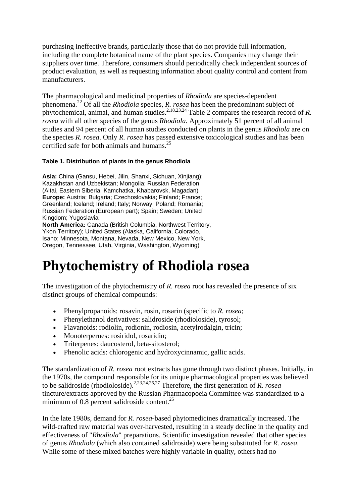purchasing ineffective brands, particularly those that do not provide full information, including the complete botanical name of the plant species. Companies may change their suppliers over time. Therefore, consumers should periodically check independent sources of product evaluation, as well as requesting information about quality control and content from manufacturers.

The pharmacological and medicinal properties of *Rhodiola* are species-dependent phenomena.22 Of all the *Rhodiola* species, *R. rosea* has been the predominant subject of phytochemical, animal, and human studies.<sup>2,18,23,24</sup> Table 2 compares the research record of *R*. *rosea* with all other species of the genus *Rhodiola*. Approximately 51 percent of all animal studies and 94 percent of all human studies conducted on plants in the genus *Rhodiola* are on the species *R. rosea*. Only *R. rosea* has passed extensive toxicological studies and has been certified safe for both animals and humans.25

#### **Table 1. Distribution of plants in the genus Rhodiola**

**Asia:** China (Gansu, Hebei, Jilin, Shanxi, Sichuan, Xinjiang); Kazakhstan and Uzbekistan; Mongolia; Russian Federation (Altai, Eastern Siberia, Kamchatka, Khabarovsk, Magadan) **Europe:** Austria; Bulgaria; Czechoslovakia; Finland; France; Greenland; Iceland; Ireland; Italy; Norway; Poland; Romania; Russian Federation (European part); Spain; Sweden; United Kingdom; Yugoslavia **North America:** Canada (British Columbia, Northwest Territory,

Ykon Territory); United States (Alaska, California, Colorado, Isaho; Minnesota, Montana, Nevada, New Mexico, New York, Oregon, Tennessee, Utah, Virginia, Washington, Wyoming)

## **Phytochemistry of Rhodiola rosea**

The investigation of the phytochemistry of *R. rosea* root has revealed the presence of six distinct groups of chemical compounds:

- Phenylpropanoids: rosavin, rosin, rosarin (specific to *R. rosea*;
- Phenylethanol derivatives: salidroside (rhodioloside), tyrosol;
- Flavanoids: rodiolin, rodionin, rodiosin, acetylrodalgin, tricin;
- Monoterpernes: rosiridol, rosaridin;
- Triterpenes: daucosterol, beta-sitosterol;
- Phenolic acids: chlorogenic and hydroxycinnamic, gallic acids.

The standardization of *R. rosea* root extracts has gone through two distinct phases. Initially, in the 1970s, the compound responsible for its unique pharmacological properties was believed to be salidroside (rhodioloside).2,23,24,26,27 Therefore, the first generation of *R. rosea* tincture/extracts approved by the Russian Pharmacopoeia Committee was standardized to a minimum of 0.8 percent salidroside content. $^{25}$ 

In the late 1980s, demand for *R. rosea*-based phytomedicines dramatically increased. The wild-crafted raw material was over-harvested, resulting in a steady decline in the quality and effectiveness of "*Rhodiola*" preparations. Scientific investigation revealed that other species of genus *Rhodiola* (which also contained salidroside) were being substituted for *R. rosea*. While some of these mixed batches were highly variable in quality, others had no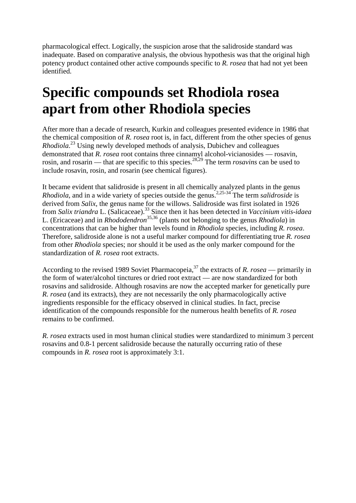pharmacological effect. Logically, the suspicion arose that the salidroside standard was inadequate. Based on comparative analysis, the obvious hypothesis was that the original high potency product contained other active compounds specific to *R. rosea* that had not yet been identified.

## **Specific compounds set Rhodiola rosea apart from other Rhodiola species**

After more than a decade of research, Kurkin and colleagues presented evidence in 1986 that the chemical composition of *R. rosea* root is, in fact, different from the other species of genus *Rhodiola*. 23 Using newly developed methods of analysis, Dubichev and colleagues demonstrated that *R. rosea* root contains three cinnamyl alcohol-vicianosides — rosavin, rosin, and rosarin — that are specific to this species.28,29 The term *rosavins* can be used to include rosavin, rosin, and rosarin (see chemical figures).

It became evident that salidroside is present in all chemically analyzed plants in the genus *Rhodiola*, and in a wide variety of species outside the genus.<sup>2,25-34</sup> The term *salidroside* is derived from *Salix*, the genus name for the willows. Salidroside was first isolated in 1926 from *Salix triandra* L. (Salicaceae).33 Since then it has been detected in *Vaccinium vitis-idaea* L. (Ericaceae) and in *Rhododendron*35,36 (plants not belonging to the genus *Rhodiola*) in concentrations that can be higher than levels found in *Rhodiola* species, including *R. rosea*. Therefore, salidroside alone is not a useful marker compound for differentiating true *R. rosea* from other *Rhodiola* species; nor should it be used as the only marker compound for the standardization of *R. rosea* root extracts.

According to the revised 1989 Soviet Pharmacopeia,<sup>37</sup> the extracts of *R. rosea* — primarily in the form of water/alcohol tinctures or dried root extract — are now standardized for both rosavins and salidroside. Although rosavins are now the accepted marker for genetically pure *R. rosea* (and its extracts), they are not necessarily the only pharmacologically active ingredients responsible for the efficacy observed in clinical studies. In fact, precise identification of the compounds responsible for the numerous health benefits of *R. rosea*  remains to be confirmed.

*R. rosea* extracts used in most human clinical studies were standardized to minimum 3 percent rosavins and 0.8-1 percent salidroside because the naturally occurring ratio of these compounds in *R. rosea* root is approximately 3:1.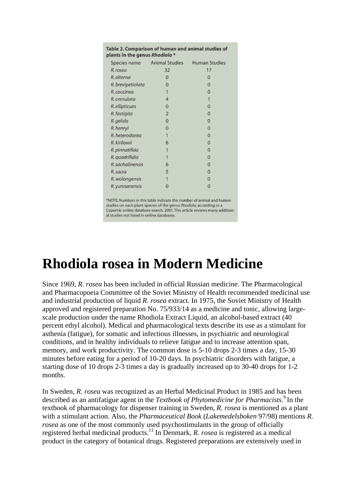| Species name      | Animal Studies | <b>Human Studies</b> |
|-------------------|----------------|----------------------|
| R. rosea          | 32             | 17                   |
| R. alterna        | $\bf{0}$       | 0                    |
| R. brevipetiolata | 0              | $\Omega$             |
| R. coccinea       | 1              | 0                    |
| R. crenulata      | 4              | 1                    |
| R. ellipticum     | 0              | $\Omega$             |
| R. fastigita      | $\overline{2}$ | $\Omega$             |
| R. gelida         | 0              | 0                    |
| R. henryi         | 0              | $\Omega$             |
| R. heterodonta    | 1              | $\Omega$             |
| R. kirilowii      | 6              | $\Omega$             |
| R. pinnatifida    | 1              | $\Omega$             |
| R. quadrifidia    | 1              | $\Omega$             |
| R. sachalinensis  | 6              | 0                    |
| R. sacra          | 5              | 0                    |
| R. wolongensis    | 1              | $\Omega$             |
| R. yunnanensis    | 0              | $\Omega$             |

Table 2. Comparison of human and animal studies of

al studies not listed in online databases.

# **Rhodiola rosea in Modern Medicine**

Since 1969, *R. rosea* has been included in official Russian medicine. The Pharmacological and Pharmacopoeia Committee of the Soviet Ministry of Health recommended medicinal use and industrial production of liquid *R. rosea* extract. In 1975, the Soviet Ministry of Health approved and registered preparation No. 75/933/14 as a medicine and tonic, allowing largescale production under the name Rhodiola Extract Liquid, an alcohol-based extract (40 percent ethyl alcohol). Medical and pharmacological texts describe its use as a stimulant for asthenia (fatigue), for somatic and infectious illnesses, in psychiatric and neurological conditions, and in healthy individuals to relieve fatigue and to increase attention span, memory, and work productivity. The common dose is 5-10 drops 2-3 times a day, 15-30 minutes before eating for a period of 10-20 days. In psychiatric disorders with fatigue, a starting dose of 10 drops 2-3 times a day is gradually increased up to 30-40 drops for 1-2 months.

In Sweden, *R. rosea* was recognized as an Herbal Medicinal Product in 1985 and has been described as an antifatigue agent in the *Textbook of Phytomedicine for Pharmacists*. 9 In the textbook of pharmacology for dispenser training in Sweden, *R. rosea* is mentioned as a plant with a stimulant action. Also, the *Pharmaceutical Book* (*Lakemedelsboken* 97/98) mentions *R. rosea* as one of the most commonly used psychostimulants in the group of officially registered herbal medicinal products.11 In Denmark, *R. rosea* is registered as a medical product in the category of botanical drugs. Registered preparations are extensively used in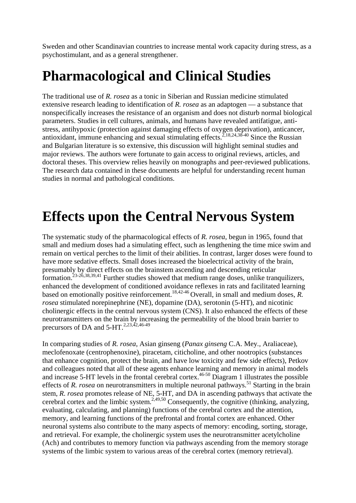Sweden and other Scandinavian countries to increase mental work capacity during stress, as a psychostimulant, and as a general strengthener.

# **Pharmacological and Clinical Studies**

The traditional use of *R. rosea* as a tonic in Siberian and Russian medicine stimulated extensive research leading to identification of *R. rosea* as an adaptogen — a substance that nonspecifically increases the resistance of an organism and does not disturb normal biological parameters. Studies in cell cultures, animals, and humans have revealed antifatigue, antistress, antihypoxic (protection against damaging effects of oxygen deprivation), anticancer, antioxidant, immune enhancing and sexual stimulating effects.<sup>2,18,24,38-40</sup> Since the Russian and Bulgarian literature is so extensive, this discussion will highlight seminal studies and major reviews. The authors were fortunate to gain access to original reviews, articles, and doctoral theses. This overview relies heavily on monographs and peer-reviewed publications. The research data contained in these documents are helpful for understanding recent human studies in normal and pathological conditions.

## **Effects upon the Central Nervous System**

The systematic study of the pharmacological effects of *R. rosea*, begun in 1965, found that small and medium doses had a simulating effect, such as lengthening the time mice swim and remain on vertical perches to the limit of their abilities. In contrast, larger doses were found to have more sedative effects. Small doses increased the bioelectrical activity of the brain, presumably by direct effects on the brainstem ascending and descending reticular formation.23-26,38,39,41 Further studies showed that medium range doses, unlike tranquilizers, enhanced the development of conditioned avoidance reflexes in rats and facilitated learning based on emotionally positive reinforcement.18,42-46 Overall, in small and medium doses, *R. rosea* stimulated norepinephrine (NE), dopamine (DA), serotonin (5-HT), and nicotinic cholinergic effects in the central nervous system (CNS). It also enhanced the effects of these neurotransmitters on the brain by increasing the permeability of the blood brain barrier to precursors of DA and 5-HT.<sup>2,23,42,46-49</sup>

In comparing studies of *R. rosea*, Asian ginseng (*Panax ginseng* C.A. Mey*.,* Araliaceae), meclofenoxate (centrophenoxine), piracetam, citicholine, and other nootropics (substances that enhance cognition, protect the brain, and have low toxicity and few side effects), Petkov and colleagues noted that all of these agents enhance learning and memory in animal models and increase 5-HT levels in the frontal cerebral cortex.<sup>46-50</sup> Diagram 1 illustrates the possible effects of *R. rosea* on neurotransmitters in multiple neuronal pathways.<sup>51</sup> Starting in the brain stem, *R. rosea* promotes release of NE, 5-HT, and DA in ascending pathways that activate the cerebral cortex and the limbic system.<sup>2,49,50</sup> Consequently, the cognitive (thinking, analyzing, evaluating, calculating, and planning) functions of the cerebral cortex and the attention, memory, and learning functions of the prefrontal and frontal cortex are enhanced. Other neuronal systems also contribute to the many aspects of memory: encoding, sorting, storage, and retrieval. For example, the cholinergic system uses the neurotransmitter acetylcholine (Ach) and contributes to memory function via pathways ascending from the memory storage systems of the limbic system to various areas of the cerebral cortex (memory retrieval).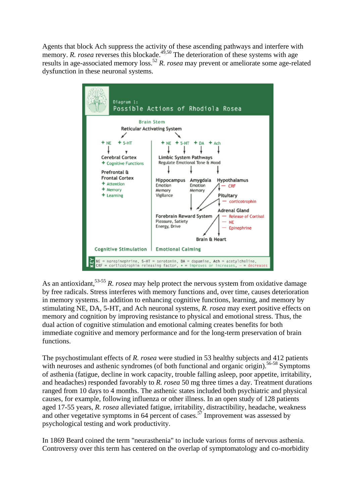Agents that block Ach suppress the activity of these ascending pathways and interfere with memory. *R. rosea* reverses this blockade. $4^{9,50}$  The deterioration of these systems with age results in age-associated memory loss.<sup>52</sup> *R. rosea* may prevent or ameliorate some age-related dysfunction in these neuronal systems.



As an antioxidant,<sup>53-55</sup> *R. rosea* may help protect the nervous system from oxidative damage by free radicals. Stress interferes with memory functions and, over time, causes deterioration in memory systems. In addition to enhancing cognitive functions, learning, and memory by stimulating NE, DA, 5-HT, and Ach neuronal systems, *R. rosea* may exert positive effects on memory and cognition by improving resistance to physical and emotional stress. Thus, the dual action of cognitive stimulation and emotional calming creates benefits for both immediate cognitive and memory performance and for the long-term preservation of brain functions.

The psychostimulant effects of *R. rosea* were studied in 53 healthy subjects and 412 patients with neuroses and asthenic syndromes (of both functional and organic origin).<sup>56-58</sup> Symptoms of asthenia (fatigue, decline in work capacity, trouble falling asleep, poor appetite, irritability, and headaches) responded favorably to *R. rosea* 50 mg three times a day. Treatment durations ranged from 10 days to 4 months. The asthenic states included both psychiatric and physical causes, for example, following influenza or other illness. In an open study of 128 patients aged 17-55 years, *R. rosea* alleviated fatigue, irritability, distractibility, headache, weakness and other vegetative symptoms in 64 percent of cases.<sup>57</sup> Improvement was assessed by psychological testing and work productivity.

In 1869 Beard coined the term "neurasthenia" to include various forms of nervous asthenia. Controversy over this term has centered on the overlap of symptomatology and co-morbidity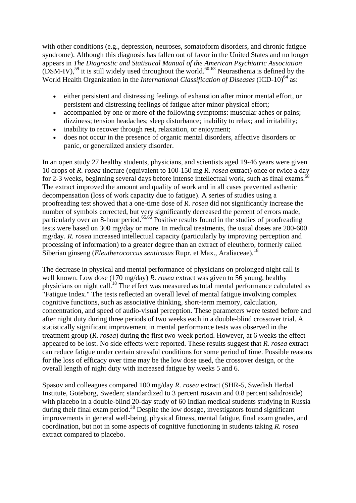with other conditions (e.g., depression, neuroses, somatoform disorders, and chronic fatigue syndrome). Although this diagnosis has fallen out of favor in the United States and no longer appears in *The Diagnostic and Statistical Manual of the American Psychiatric Association*  $(DSM-IV)$ ,<sup>59</sup> it is still widely used throughout the world.<sup>60-63</sup> Neurasthenia is defined by the World Health Organization in the *International Classification of Diseases* (ICD-10)<sup>64</sup> as:

- either persistent and distressing feelings of exhaustion after minor mental effort, or persistent and distressing feelings of fatigue after minor physical effort;
- accompanied by one or more of the following symptoms: muscular aches or pains; dizziness; tension headaches; sleep disturbance; inability to relax; and irritability;
- inability to recover through rest, relaxation, or enjoyment;
- does not occur in the presence of organic mental disorders, affective disorders or panic, or generalized anxiety disorder.

In an open study 27 healthy students, physicians, and scientists aged 19-46 years were given 10 drops of *R. rosea* tincture (equivalent to 100-150 mg *R. rosea* extract) once or twice a day for 2-3 weeks, beginning several days before intense intellectual work, such as final exams.<sup>5</sup> The extract improved the amount and quality of work and in all cases prevented asthenic decompensation (loss of work capacity due to fatigue). A series of studies using a proofreading test showed that a one-time dose of *R. rosea* did not significantly increase the number of symbols corrected, but very significantly decreased the percent of errors made, particularly over an 8-hour period.<sup>65,66</sup> Positive results found in the studies of proofreading tests were based on 300 mg/day or more. In medical treatments, the usual doses are 200-600 mg/day. *R. rosea* increased intellectual capacity (particularly by improving perception and processing of information) to a greater degree than an extract of eleuthero, formerly called Siberian ginseng (*Eleutherococcus senticosus* Rupr. et Max., Araliaceae).<sup>18</sup>

The decrease in physical and mental performance of physicians on prolonged night call is well known. Low dose (170 mg/day) *R. rosea* extract was given to 56 young, healthy physicians on night call.18 The effect was measured as total mental performance calculated as "Fatigue Index." The tests reflected an overall level of mental fatigue involving complex cognitive functions, such as associative thinking, short-term memory, calculation, concentration, and speed of audio-visual perception. These parameters were tested before and after night duty during three periods of two weeks each in a double-blind crossover trial. A statistically significant improvement in mental performance tests was observed in the treatment group (*R. rosea*) during the first two-week period. However, at 6 weeks the effect appeared to be lost. No side effects were reported. These results suggest that *R. rosea* extract can reduce fatigue under certain stressful conditions for some period of time. Possible reasons for the loss of efficacy over time may be the low dose used, the crossover design, or the overall length of night duty with increased fatigue by weeks 5 and 6.

Spasov and colleagues compared 100 mg/day *R. rosea* extract (SHR-5, Swedish Herbal Institute, Goteborg, Sweden; standardized to 3 percent rosavin and 0.8 percent salidroside) with placebo in a double-blind 20-day study of 60 Indian medical students studying in Russia during their final exam period.<sup>38</sup> Despite the low dosage, investigators found significant improvements in general well-being, physical fitness, mental fatigue, final exam grades, and coordination, but not in some aspects of cognitive functioning in students taking *R. rosea* extract compared to placebo.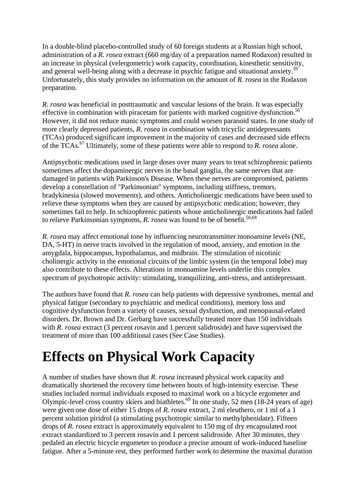In a double-blind placebo-controlled study of 60 foreign students at a Russian high school, administration of a *R. rosea* extract (660 mg/day of a preparation named Rodaxon) resulted in an increase in physical (velergometric) work capacity, coordination, kinesthetic sensitivity, and general well-being along with a decrease in psychic fatigue and situational anxiety.<sup>39</sup> Unfortunately, this study provides no information on the amount of *R. rosea* in the Rodaxon preparation.

*R. rosea* was beneficial in posttraumatic and vascular lesions of the brain. It was especially effective in combination with piracetam for patients with marked cognitive dysfunction.<sup>56</sup> However, it did not reduce manic symptoms and could worsen paranoid states. In one study of more clearly depressed patients, *R. rosea* in combination with tricyclic antidepressants (TCAs) produced significant improvement in the majority of cases and decreased side effects of the TCAs.67 Ultimately, some of these patients were able to respond to *R. rosea* alone.

Antipsychotic medications used in large doses over many years to treat schizophrenic patients sometimes affect the dopaminergic nerves in the basal ganglia, the same nerves that are damaged in patients with Parkinson's Disease. When these nerves are compromised, patients develop a constellation of "Parkinsonian" symptoms, including stiffness, tremors, bradykinesia (slowed movements), and others. Anticholinergic medications have been used to relieve these symptoms when they are caused by antipsychotic medication; however, they sometimes fail to help. In schizophrenic patients whose anticholinergic medications had failed to relieve Parkinsonian symptoms, *R. rosea* was found to be of benefit.<sup>56,68</sup>

*R. rosea* may affect emotional tone by influencing neurotransmitter monoamine levels (NE, DA, 5-HT) in nerve tracts involved in the regulation of mood, anxiety, and emotion in the amygdala, hippocampus, hypothalamus, and midbrain. The stimulation of nicotinic cholinergic activity in the emotional circuits of the limbic system (in the temporal lobe) may also contribute to these effects. Alterations in monoamine levels underlie this complex spectrum of psychotropic activity: stimulating, tranquilizing, anti-stress, and antidepressant.

The authors have found that *R. rosea* can help patients with depressive syndromes, mental and physical fatigue (secondary to psychiatric and medical conditions), memory loss and cognitive dysfunction from a variety of causes, sexual dysfunction, and menopausal-related disorders. Dr. Brown and Dr. Gerbarg have successfully treated more than 150 individuals with *R. rosea* extract (3 percent rosavin and 1 percent salidroside) and have supervised the treatment of more than 100 additional cases (See Case Studies).

# **Effects on Physical Work Capacity**

A number of studies have shown that *R. rosea* increased physical work capacity and dramatically shortened the recovery time between bouts of high-intensity exercise. These studies included normal individuals exposed to maximal work on a bicycle ergometer and Olympic-level cross country skiers and biathletes.<sup>69</sup> In one study, 52 men (18-24 years of age) were given one dose of either 15 drops of *R. rosea* extract, 2 ml eleuthero, or 1 ml of a 1 percent solution piridrol (a stimulating psychotropic similar to methylphenidate). Fifteen drops of *R. rosea* extract is approximately equivalent to 150 mg of dry encapsulated root extract standardized to 3 percent rosavin and 1 percent salidroside. After 30 minutes, they pedaled an electric bicycle ergometer to produce a precise amount of work-induced baseline fatigue. After a 5-minute rest, they performed further work to determine the maximal duration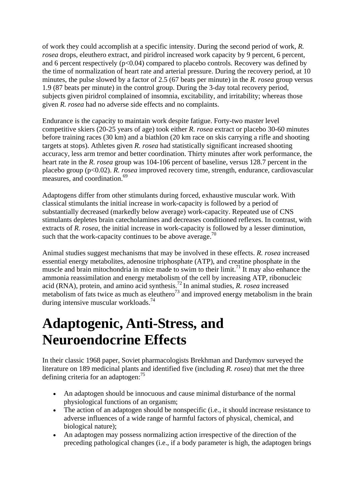of work they could accomplish at a specific intensity. During the second period of work, *R. rosea* drops, eleuthero extract, and piridrol increased work capacity by 9 percent, 6 percent, and 6 percent respectively  $(p<0.04)$  compared to placebo controls. Recovery was defined by the time of normalization of heart rate and arterial pressure. During the recovery period, at 10 minutes, the pulse slowed by a factor of 2.5 (67 beats per minute) in the *R. rosea* group versus 1.9 (87 beats per minute) in the control group. During the 3-day total recovery period, subjects given piridrol complained of insomnia, excitability, and irritability; whereas those given *R. rosea* had no adverse side effects and no complaints.

Endurance is the capacity to maintain work despite fatigue. Forty-two master level competitive skiers (20-25 years of age) took either *R. rosea* extract or placebo 30-60 minutes before training races (30 km) and a biathlon (20 km race on skis carrying a rifle and shooting targets at stops). Athletes given *R. rosea* had statistically significant increased shooting accuracy, less arm tremor and better coordination. Thirty minutes after work performance, the heart rate in the *R. rosea* group was 104-106 percent of baseline, versus 128.7 percent in the placebo group (p<0.02). *R. rosea* improved recovery time, strength, endurance, cardiovascular measures, and coordination.<sup>69</sup>

Adaptogens differ from other stimulants during forced, exhaustive muscular work. With classical stimulants the initial increase in work-capacity is followed by a period of substantially decreased (markedly below average) work-capacity. Repeated use of CNS stimulants depletes brain catecholamines and decreases conditioned reflexes. In contrast, with extracts of *R. rosea*, the initial increase in work-capacity is followed by a lesser diminution, such that the work-capacity continues to be above average.<sup>70</sup>

Animal studies suggest mechanisms that may be involved in these effects. *R. rosea* increased essential energy metabolites, adenosine triphosphate (ATP), and creatine phosphate in the muscle and brain mitochondria in mice made to swim to their limit.<sup>71</sup> It may also enhance the ammonia reassimilation and energy metabolism of the cell by increasing ATP, ribonucleic acid (RNA), protein, and amino acid synthesis.72 In animal studies, *R. rosea* increased metabolism of fats twice as much as eleuthero<sup>73</sup> and improved energy metabolism in the brain during intensive muscular workloads.<sup>74</sup>

## **Adaptogenic, Anti-Stress, and Neuroendocrine Effects**

In their classic 1968 paper, Soviet pharmacologists Brekhman and Dardymov surveyed the literature on 189 medicinal plants and identified five (including *R. rosea*) that met the three defining criteria for an adaptogen: $75$ 

- An adaptogen should be innocuous and cause minimal disturbance of the normal physiological functions of an organism;
- The action of an adaptogen should be nonspecific (i.e., it should increase resistance to adverse influences of a wide range of harmful factors of physical, chemical, and biological nature);
- An adaptogen may possess normalizing action irrespective of the direction of the preceding pathological changes (i.e., if a body parameter is high, the adaptogen brings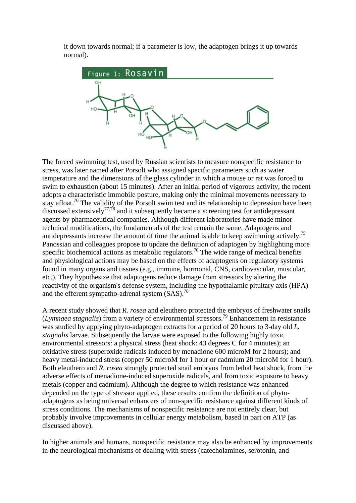it down towards normal; if a parameter is low, the adaptogen brings it up towards normal).



The forced swimming test, used by Russian scientists to measure nonspecific resistance to stress, was later named after Porsolt who assigned specific parameters such as water temperature and the dimensions of the glass cylinder in which a mouse or rat was forced to swim to exhaustion (about 15 minutes). After an initial period of vigorous activity, the rodent adopts a characteristic immobile posture, making only the minimal movements necessary to stay afloat.<sup>76</sup> The validity of the Porsolt swim test and its relationship to depression have been discussed extensively<sup>77,78</sup> and it subsequently became a screening test for antidepressant agents by pharmaceutical companies. Although different laboratories have made minor technical modifications, the fundamentals of the test remain the same. Adaptogens and antidepressants increase the amount of time the animal is able to keep swimming actively.75 Panossian and colleagues propose to update the definition of adaptogen by highlighting more specific biochemical actions as metabolic regulators.<sup>70</sup> The wide range of medical benefits and physiological actions may be based on the effects of adaptogens on regulatory systems found in many organs and tissues (e.g., immune, hormonal, CNS, cardiovascular, muscular, etc.). They hypothesize that adaptogens reduce damage from stressors by altering the reactivity of the organism's defense system, including the hypothalamic pituitary axis (HPA) and the efferent sympatho-adrenal system  $(SAS)$ .<sup>70</sup>

A recent study showed that *R. rosea* and eleuthero protected the embryos of freshwater snails (*Lymnaea stagnalis*) from a variety of environmental stressors.79 Enhancement in resistance was studied by applying phyto-adaptogen extracts for a period of 20 hours to 3-day old *L. stagnalis* larvae. Subsequently the larvae were exposed to the following highly toxic environmental stressors: a physical stress (heat shock: 43 degrees C for 4 minutes); an oxidative stress (superoxide radicals induced by menadione 600 microM for 2 hours); and heavy metal-induced stress (copper 50 microM for 1 hour or cadmium 20 microM for 1 hour). Both eleuthero and *R. rosea* strongly protected snail embryos from lethal heat shock, from the adverse effects of menadione-induced superoxide radicals, and from toxic exposure to heavy metals (copper and cadmium). Although the degree to which resistance was enhanced depended on the type of stressor applied, these results confirm the definition of phytoadaptogens as being universal enhancers of non-specific resistance against different kinds of stress conditions. The mechanisms of nonspecific resistance are not entirely clear, but probably involve improvements in cellular energy metabolism, based in part on ATP (as discussed above).

In higher animals and humans, nonspecific resistance may also be enhanced by improvements in the neurological mechanisms of dealing with stress (catecholamines, serotonin, and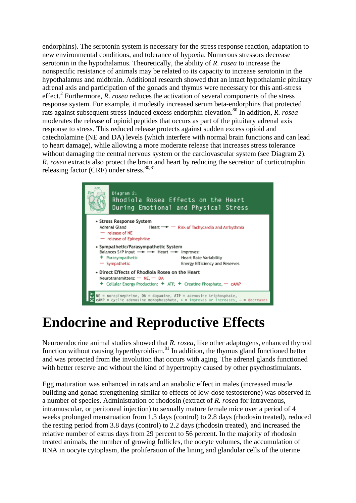endorphins). The serotonin system is necessary for the stress response reaction, adaptation to new environmental conditions, and tolerance of hypoxia. Numerous stressors decrease serotonin in the hypothalamus. Theoretically, the ability of *R. rosea* to increase the nonspecific resistance of animals may be related to its capacity to increase serotonin in the hypothalamus and midbrain. Additional research showed that an intact hypothalamic pituitary adrenal axis and participation of the gonads and thymus were necessary for this anti-stress effect.<sup>2</sup> Furthermore, *R. rosea* reduces the activation of several components of the stress response system. For example, it modestly increased serum beta-endorphins that protected rats against subsequent stress-induced excess endorphin elevation.80 In addition, *R. rosea* moderates the release of opioid peptides that occurs as part of the pituitary adrenal axis response to stress. This reduced release protects against sudden excess opioid and catecholamine (NE and DA) levels (which interfere with normal brain functions and can lead to heart damage), while allowing a more moderate release that increases stress tolerance without damaging the central nervous system or the cardiovascular system (see Diagram 2). *R. rosea* extracts also protect the brain and heart by reducing the secretion of corticotrophin releasing factor (CRF) under stress.  $80,81$ 



# **Endocrine and Reproductive Effects**

Neuroendocrine animal studies showed that *R. rosea*, like other adaptogens, enhanced thyroid function without causing hyperthyroidism.<sup>81</sup> In addition, the thymus gland functioned better and was protected from the involution that occurs with aging. The adrenal glands functioned with better reserve and without the kind of hypertrophy caused by other psychostimulants.

Egg maturation was enhanced in rats and an anabolic effect in males (increased muscle building and gonad strengthening similar to effects of low-dose testosterone) was observed in a number of species. Administration of rhodosin (extract of *R. rosea* for intravenous, intramuscular, or peritoneal injection) to sexually mature female mice over a period of 4 weeks prolonged menstruation from 1.3 days (control) to 2.8 days (rhodosin treated), reduced the resting period from 3.8 days (control) to 2.2 days (rhodosin treated), and increased the relative number of estrus days from 29 percent to 56 percent. In the majority of rhodosin treated animals, the number of growing follicles, the oocyte volumes, the accumulation of RNA in oocyte cytoplasm, the proliferation of the lining and glandular cells of the uterine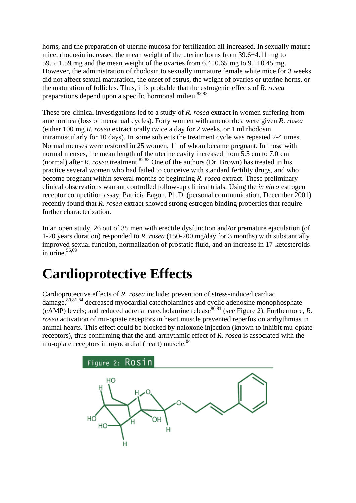horns, and the preparation of uterine mucosa for fertilization all increased. In sexually mature mice, rhodosin increased the mean weight of the uterine horns from 39.6+4.11 mg to 59.5+1.59 mg and the mean weight of the ovaries from  $6.4+0.65$  mg to  $9.1+0.45$  mg. However, the administration of rhodosin to sexually immature female white mice for 3 weeks did not affect sexual maturation, the onset of estrus, the weight of ovaries or uterine horns, or the maturation of follicles. Thus, it is probable that the estrogenic effects of *R. rosea* preparations depend upon a specific hormonal milieu.<sup>82,83</sup>

These pre-clinical investigations led to a study of *R. rosea* extract in women suffering from amenorrhea (loss of menstrual cycles). Forty women with amenorrhea were given *R. rosea* (either 100 mg *R. rosea* extract orally twice a day for 2 weeks, or 1 ml rhodosin intramuscularly for 10 days). In some subjects the treatment cycle was repeated 2-4 times. Normal menses were restored in 25 women, 11 of whom became pregnant. In those with normal menses, the mean length of the uterine cavity increased from 5.5 cm to 7.0 cm (normal) after *R. rosea* treatment.<sup>82,83</sup> One of the authors (Dr. Brown) has treated in his practice several women who had failed to conceive with standard fertility drugs, and who become pregnant within several months of beginning *R. rosea* extract. These preliminary clinical observations warrant controlled follow-up clinical trials. Using the *in vitro* estrogen receptor competition assay, Patricia Eagon, Ph.D. (personal communication, December 2001) recently found that *R. rosea* extract showed strong estrogen binding properties that require further characterization.

In an open study, 26 out of 35 men with erectile dysfunction and/or premature ejaculation (of 1-20 years duration) responded to *R*. *rosea* (150-200 mg/day for 3 months) with substantially improved sexual function, normalization of prostatic fluid, and an increase in 17-ketosteroids in urine. $56,69$ 

# **Cardioprotective Effects**

Cardioprotective effects of *R. rosea* include: prevention of stress-induced cardiac damage,<sup>80,81,84</sup> decreased myocardial catecholamines and cyclic adenosine monophosphate  $(CAMP)$  levels; and reduced adrenal catecholamine release<sup>80,81</sup> (see Figure 2). Furthermore, *R. rosea* activation of mu-opiate receptors in heart muscle prevented reperfusion arrhythmias in animal hearts. This effect could be blocked by naloxone injection (known to inhibit mu-opiate receptors), thus confirming that the anti-arrhythmic effect of *R. rosea* is associated with the mu-opiate receptors in myocardial (heart) muscle.<sup>84</sup>

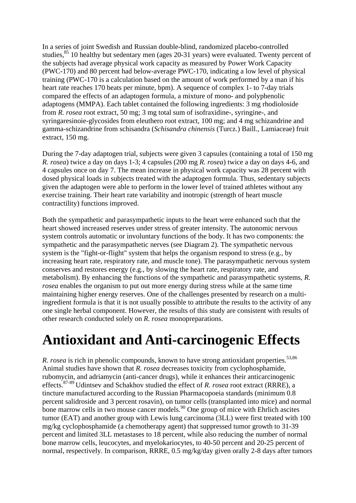In a series of joint Swedish and Russian double-blind, randomized placebo-controlled studies,  $85$  10 healthy but sedentary men (ages 20-31 years) were evaluated. Twenty percent of the subjects had average physical work capacity as measured by Power Work Capacity (PWC-170) and 80 percent had below-average PWC-170, indicating a low level of physical training (PWC-170 is a calculation based on the amount of work performed by a man if his heart rate reaches 170 beats per minute, bpm). A sequence of complex 1- to 7-day trials compared the effects of an adaptogen formula, a mixture of mono- and polyphenolic adaptogens (MMPA). Each tablet contained the following ingredients: 3 mg rhodioloside from *R. rosea* root extract, 50 mg; 3 mg total sum of isofraxidine-, syringine-, and syringaresinoie-glycosides from eleuthero root extract, 100 mg; and 4 mg schizandrine and gamma-schizandrine from schisandra (*Schisandra chinensis* (Turcz.) Baill., Lamiaceae) fruit extract, 150 mg.

During the 7-day adaptogen trial, subjects were given 3 capsules (containing a total of 150 mg *R. rosea*) twice a day on days 1-3; 4 capsules (200 mg *R. rosea*) twice a day on days 4-6, and 4 capsules once on day 7. The mean increase in physical work capacity was 28 percent with dosed physical loads in subjects treated with the adaptogen formula. Thus, sedentary subjects given the adaptogen were able to perform in the lower level of trained athletes without any exercise training. Their heart rate variability and inotropic (strength of heart muscle contractility) functions improved.

Both the sympathetic and parasympathetic inputs to the heart were enhanced such that the heart showed increased reserves under stress of greater intensity. The autonomic nervous system controls automatic or involuntary functions of the body. It has two components: the sympathetic and the parasympathetic nerves (see Diagram 2). The sympathetic nervous system is the "fight-or-flight" system that helps the organism respond to stress (e.g., by increasing heart rate, respiratory rate, and muscle tone). The parasympathetic nervous system conserves and restores energy (e.g., by slowing the heart rate, respiratory rate, and metabolism). By enhancing the functions of the sympathetic and parasympathetic systems, *R. rosea* enables the organism to put out more energy during stress while at the same time maintaining higher energy reserves. One of the challenges presented by research on a multiingredient formula is that it is not usually possible to attribute the results to the activity of any one single herbal component. However, the results of this study are consistent with results of other research conducted solely on *R. rosea* monopreparations.

#### **Antioxidant and Anti-carcinogenic Effects**

*R. rosea* is rich in phenolic compounds, known to have strong antioxidant properties.<sup>53,86</sup> Animal studies have shown that *R. rosea* decreases toxicity from cyclophosphamide, rubomycin, and adriamycin (anti-cancer drugs), while it enhances their anticarcinogenic effects.87-89 Udintsev and Schakhov studied the effect of *R. rosea* root extract (RRRE), a tincture manufactured according to the Russian Pharmacopoeia standards (minimum 0.8 percent salidroside and 3 percent rosavin), on tumor cells (transplanted into mice) and normal bone marrow cells in two mouse cancer models.<sup>90</sup> One group of mice with Ehrlich ascites tumor (EAT) and another group with Lewis lung carcinoma (3LL) were first treated with 100 mg/kg cyclophosphamide (a chemotherapy agent) that suppressed tumor growth to 31-39 percent and limited 3LL metastases to 18 percent, while also reducing the number of normal bone marrow cells, leucocytes, and myelokariocytes, to 40-50 percent and 20-25 percent of normal, respectively. In comparison, RRRE, 0.5 mg/kg/day given orally 2-8 days after tumors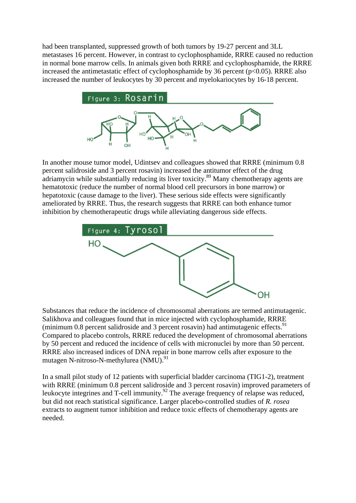had been transplanted, suppressed growth of both tumors by 19-27 percent and 3LL metastases 16 percent. However, in contrast to cyclophosphamide, RRRE caused no reduction in normal bone marrow cells. In animals given both RRRE and cyclophosphamide, the RRRE increased the antimetastatic effect of cyclophosphamide by 36 percent ( $p<0.05$ ). RRRE also increased the number of leukocytes by 30 percent and myelokariocytes by 16-18 percent.



In another mouse tumor model, Udintsev and colleagues showed that RRRE (minimum 0.8 percent salidroside and 3 percent rosavin) increased the antitumor effect of the drug adriamycin while substantially reducing its liver toxicity.<sup>89</sup> Many chemotherapy agents are hematotoxic (reduce the number of normal blood cell precursors in bone marrow) or hepatotoxic (cause damage to the liver). These serious side effects were significantly ameliorated by RRRE. Thus, the research suggests that RRRE can both enhance tumor inhibition by chemotherapeutic drugs while alleviating dangerous side effects.



Substances that reduce the incidence of chromosomal aberrations are termed antimutagenic. Salikhova and colleagues found that in mice injected with cyclophosphamide, RRRE (minimum 0.8 percent salidroside and 3 percent rosavin) had antimutagenic effects.<sup>91</sup> Compared to placebo controls, RRRE reduced the development of chromosomal aberrations by 50 percent and reduced the incidence of cells with micronuclei by more than 50 percent. RRRE also increased indices of DNA repair in bone marrow cells after exposure to the mutagen N-nitroso-N-methylurea  $(NMU)$ <sup>91</sup>

In a small pilot study of 12 patients with superficial bladder carcinoma (TIG1-2), treatment with RRRE (minimum 0.8 percent salidroside and 3 percent rosavin) improved parameters of leukocyte integrines and T-cell immunity.<sup>92</sup> The average frequency of relapse was reduced, but did not reach statistical significance. Larger placebo-controlled studies of *R. rosea* extracts to augment tumor inhibition and reduce toxic effects of chemotherapy agents are needed.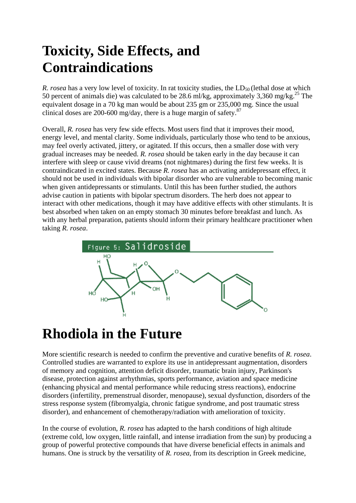## **Toxicity, Side Effects, and Contraindications**

*R. rosea* has a very low level of toxicity. In rat toxicity studies, the LD<sub>50</sub> (lethal dose at which 50 percent of animals die) was calculated to be 28.6 ml/kg, approximately 3,360 mg/kg.<sup>25</sup> The equivalent dosage in a 70 kg man would be about 235 gm or 235,000 mg. Since the usual clinical doses are 200-600 mg/day, there is a huge margin of safety. $87$ 

Overall, *R. rosea* has very few side effects. Most users find that it improves their mood, energy level, and mental clarity. Some individuals, particularly those who tend to be anxious, may feel overly activated, jittery, or agitated. If this occurs, then a smaller dose with very gradual increases may be needed. *R. rosea* should be taken early in the day because it can interfere with sleep or cause vivid dreams (not nightmares) during the first few weeks. It is contraindicated in excited states. Because *R. rosea* has an activating antidepressant effect, it should not be used in individuals with bipolar disorder who are vulnerable to becoming manic when given antidepressants or stimulants. Until this has been further studied, the authors advise caution in patients with bipolar spectrum disorders. The herb does not appear to interact with other medications, though it may have additive effects with other stimulants. It is best absorbed when taken on an empty stomach 30 minutes before breakfast and lunch. As with any herbal preparation, patients should inform their primary healthcare practitioner when taking *R. rosea*.



# **Rhodiola in the Future**

More scientific research is needed to confirm the preventive and curative benefits of *R. rosea*. Controlled studies are warranted to explore its use in antidepressant augmentation, disorders of memory and cognition, attention deficit disorder, traumatic brain injury, Parkinson's disease, protection against arrhythmias, sports performance, aviation and space medicine (enhancing physical and mental performance while reducing stress reactions), endocrine disorders (infertility, premenstrual disorder, menopause), sexual dysfunction, disorders of the stress response system (fibromyalgia, chronic fatigue syndrome, and post traumatic stress disorder), and enhancement of chemotherapy/radiation with amelioration of toxicity.

In the course of evolution, *R. rosea* has adapted to the harsh conditions of high altitude (extreme cold, low oxygen, little rainfall, and intense irradiation from the sun) by producing a group of powerful protective compounds that have diverse beneficial effects in animals and humans. One is struck by the versatility of *R. rosea*, from its description in Greek medicine,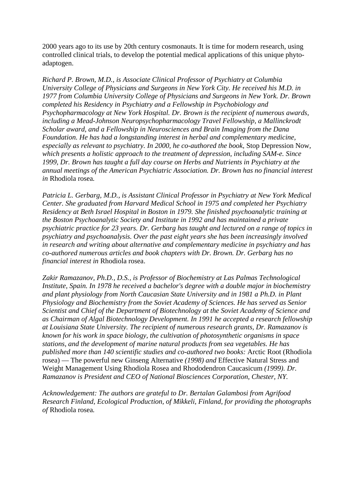2000 years ago to its use by 20th century cosmonauts. It is time for modern research, using controlled clinical trials, to develop the potential medical applications of this unique phytoadaptogen.

*Richard P. Brown, M.D., is Associate Clinical Professor of Psychiatry at Columbia University College of Physicians and Surgeons in New York City. He received his M.D. in 1977 from Columbia University College of Physicians and Surgeons in New York. Dr. Brown completed his Residency in Psychiatry and a Fellowship in Psychobiology and Psychopharmacology at New York Hospital. Dr. Brown is the recipient of numerous awards, including a Mead-Johnson Neuropsychopharmacology Travel Fellowship, a Mallinckrodt Scholar award, and a Fellowship in Neurosciences and Brain Imaging from the Dana Foundation. He has had a longstanding interest in herbal and complementary medicine, especially as relevant to psychiatry. In 2000, he co-authored the book,* Stop Depression Now*, which presents a holistic approach to the treatment of depression, including SAM-e. Since 1999, Dr. Brown has taught a full day course on Herbs and Nutrients in Psychiatry at the annual meetings of the American Psychiatric Association. Dr. Brown has no financial interest in* Rhodiola rosea*.*

*Patricia L. Gerbarg, M.D., is Assistant Clinical Professor in Psychiatry at New York Medical Center. She graduated from Harvard Medical School in 1975 and completed her Psychiatry Residency at Beth Israel Hospital in Boston in 1979. She finished psychoanalytic training at the Boston Psychoanalytic Society and Institute in 1992 and has maintained a private psychiatric practice for 23 years. Dr. Gerbarg has taught and lectured on a range of topics in psychiatry and psychoanalysis. Over the past eight years she has been increasingly involved in research and writing about alternative and complementary medicine in psychiatry and has co-authored numerous articles and book chapters with Dr. Brown. Dr. Gerbarg has no financial interest in* Rhodiola rosea.

*Zakir Ramazanov, Ph.D., D.S., is Professor of Biochemistry at Las Palmas Technological Institute, Spain. In 1978 he received a bachelor's degree with a double major in biochemistry and plant physiology from North Caucasian State University and in 1981 a Ph.D. in Plant Physiology and Biochemistry from the Soviet Academy of Sciences. He has served as Senior Scientist and Chief of the Department of Biotechnology at the Soviet Academy of Science and as Chairman of Algal Biotechnology Development. In 1991 he accepted a research fellowship at Louisiana State University. The recipient of numerous research grants, Dr. Ramazanov is known for his work in space biology, the cultivation of photosynthetic organisms in space stations, and the development of marine natural products from sea vegetables. He has published more than 140 scientific studies and co-authored two books:* Arctic Root (Rhodiola rosea) — The powerful new Ginseng Alternative *(1998) and* Effective Natural Stress and Weight Management Using Rhodiola Rosea and Rhododendron Caucasicum *(1999). Dr. Ramazanov is President and CEO of National Biosciences Corporation, Chester, NY.*

*Acknowledgement: The authors are grateful to Dr. Bertalan Galambosi from Agrifood Research Finland, Ecological Production, of Mikkeli, Finland, for providing the photographs of* Rhodiola rosea*.*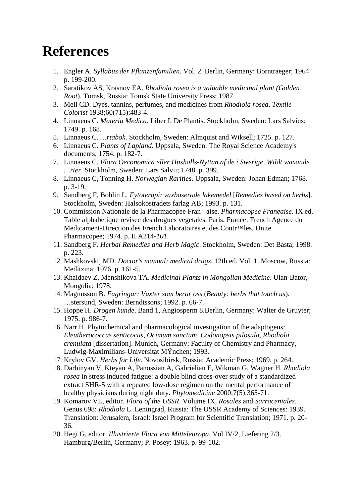## **References**

- 1. Engler A. *Syllabus der Pflanzenfamilien*. Vol. 2. Berlin, Germany: Borntraeger; 1964. p. 199-200.
- 2. Saratikov AS, Krasnov EA. *Rhodiola rosea is a valuable medicinal plant (Golden Root*). Tomsk, Russia: Tomsk State University Press; 1987.
- 3. Mell CD. Dyes, tannins, perfumes, and medicines from *Rhodiola rosea*. *Textile Colorist* 1938;60(715):483-4.
- 4. Linnaeus C. *Materia Medica*. Liber I. De Plantis. Stockholm, Sweden: Lars Salvius; 1749. p. 168.
- 5. Linnaeus C. *…rtabok*. Stockholm, Sweden: Almquist and Wiksell; 1725. p. 127.
- 6. Linnaeus C. *Plants of Lapland*. Uppsala, Sweden: The Royal Science Academy's documents; 1754. p. 182-7.
- 7. Linnaeus C. *Flora Oeconomica eller Hushalls-Nyttan af de i Swerige, Wildt waxande …rter*. Stockholm, Sweden: Lars Salvii; 1748. p. 399.
- 8. Linnaeus C, Tonning H. *Norwegian Rarities*. Uppsala, Sweden: Johan Edman; 1768. p. 3-19.
- 9. Sandberg F, Bohlin L. *Fytoterapi: vaxbaserade lakemedel* [*Remedies based on herbs*]. Stockholm, Sweden: Halsokostradets farlag AB; 1993. p. 131.
- 10. Commission Nationale de la Pharmacopee Fran aise. *Pharmacopee Franeaise*. IX ed. Table alphabetique revisee des drogues vegetales. Paris, France: French Agence du Medicament-Direction des French Laboratoires et des Contr™les, Unite Pharmacopee; 1974. p. II A214-*101*.
- 11. Sandberg F. *Herbal Remedies and Herb Magic*. Stockholm, Sweden: Det Basta; 1998. p. 223.
- 12. Mashkovskij MD. *Doctor's manual: medical drugs*. 12th ed. Vol. 1. Moscow, Russia: Meditzina; 1976. p. 161-5.
- 13. Khaidaev Z, Menshikova TA. *Medicinal Plants in Mongolian Medicine*. Ulan-Bator, Mongolia; 1978.
- 14. Magnusson B. *Fagringar: Vaxter som berar oss* (*Beauty: herbs that touch us*). …stersund, Sweden: Berndtssons; 1992. p. 66-7.
- 15. Hoppe H. *Drogen kunde*. Band 1, Angiosperm 8.Berlin, Germany: Walter de Gruyter; 1975. p. 986-7.
- 16. Narr H. Phytochemical and pharmacological investigation of the adaptogens: *Eleutherococcus senticocus, Ocimum sanctum, Codonopsis pilosula, Rhodiola crenulata* [dissertation]. Munich, Germany: Faculty of Chemistry and Pharmacy, Ludwig-Maximilians-Universitat MŸnchen; 1993.
- 17. Krylov GV. *Herbs for Life*. Novosibirsk, Russia: Academic Press; 1969. p. 264.
- 18. Darbinyan V, Kteyan A, Panossian A, Gabrielian E, Wikman G, Wagner H. *Rhodiola rosea* in stress induced fatigue: a double blind cross-over study of a standardized extract SHR-5 with a repeated low-dose regimen on the mental performance of healthy physicians during night duty. *Phytomedicine* 2000;7(5):365-71.
- 19. Komarov VL, editor. *Flora of the USSR*. Volume IX, *Rosales* and *Sarraceniales*. Genus 698: *Rhodiola* L. Leningrad, Russia: The USSR Academy of Sciences: 1939. Translation: Jerusalem, Israel: Israel Program for Scientific Translation; 1971. p. 20- 36.
- 20. Hegi G, editor. *Illustrierte Flora von Mitteleuropa*. Vol.IV/2, Liefering 2/3. Hamburg/Berlin, Germany; P. Posey: 1963. p. 99-102.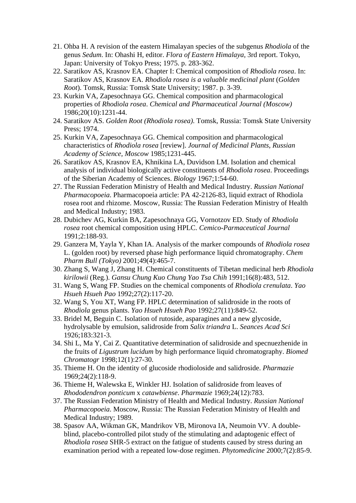- 21. Ohba H. A revision of the eastern Himalayan species of the subgenus *Rhodiola* of the genus *Sedum*. In: Ohashi H, editor. *Flora of Eastern Himalaya*, 3rd report. Tokyo, Japan: University of Tokyo Press; 1975. p. 283-362.
- 22. Saratikov AS, Krasnov EA. Chapter I: Chemical composition of *Rhodiola rosea*. In: Saratikov AS, Krasnov EA. *Rhodiola rosea is a valuable medicinal plant* (*Golden Root*). Tomsk, Russia: Tomsk State University; 1987. p. 3-39.
- 23. Kurkin VA, Zapesochnaya GG. Chemical composition and pharmacological properties of *Rhodiola rosea*. *Chemical and Pharmaceutical Journal (Moscow)* 1986;20(10):1231-44.
- 24. Saratikov AS. *Golden Root (Rhodiola rosea)*. Tomsk, Russia: Tomsk State University Press; 1974.
- 25. Kurkin VA, Zapesochnaya GG. Chemical composition and pharmacological characteristics of *Rhodiola rosea* [review]. *Journal of Medicinal Plants, Russian Academy of Science, Moscow* 1985;1231-445.
- 26. Saratikov AS, Krasnov EA, Khnikina LA, Duvidson LM. Isolation and chemical analysis of individual biologically active constituents of *Rhodiola rosea*. Proceedings of the Siberian Academy of Sciences. *Biology* 1967;1:54-60.
- 27. The Russian Federation Ministry of Health and Medical Industry. *Russian National Pharmacopoeia*. Pharmacopoeia article: PA 42-2126-83, liquid extract of Rhodiola rosea root and rhizome. Moscow, Russia: The Russian Federation Ministry of Health and Medical Industry; 1983.
- 28. Dubichev AG, Kurkin BA, Zapesochnaya GG, Vornotzov ED. Study of *Rhodiola rosea* root chemical composition using HPLC. *Cemico-Parmaceutical Journal* 1991;2:188-93.
- 29. Ganzera M, Yayla Y, Khan IA. Analysis of the marker compounds of *Rhodiola rosea* L. (golden root) by reversed phase high performance liquid chromatography. *Chem Pharm Bull (Tokyo)* 2001;49(4):465-7.
- 30. Zhang S, Wang J, Zhang H. Chemical constituents of Tibetan medicinal herb *Rhodiola kirilowii* (Reg.). *Gansu Chung Kuo Chung Yao Tsa Chih* 1991;16(8):483, 512.
- 31. Wang S, Wang FP. Studies on the chemical components of *Rhodiola crenulata*. *Yao Hsueh Hsueh Pao* 1992;27(2):117-20.
- 32. Wang S, You XT, Wang FP. HPLC determination of salidroside in the roots of *Rhodiola* genus plants. *Yao Hsueh Hsueh Pao* 1992;27(11):849-52.
- 33. Bridel M, Beguin C. Isolation of rutoside, asparagines and a new glycoside, hydrolysable by emulsion, salidroside from *Salix triandra* L. *Seances Acad Sci* 1926;183:321-3.
- 34. Shi L, Ma Y, Cai Z. Quantitative determination of salidroside and specnuezhenide in the fruits of *Ligustrum lucidum* by high performance liquid chromatography. *Biomed Chromatogr* 1998;12(1):27-30.
- 35. Thieme H. On the identity of glucoside rhodioloside and salidroside. *Pharmazie* 1969;24(2):118-9.
- 36. Thieme H, Walewska E, Winkler HJ. Isolation of salidroside from leaves of *Rhododendron ponticum* x *catawbiense*. *Pharmazie* 1969;24(12):783.
- 37. The Russian Federation Ministry of Health and Medical Industry. *Russian National Pharmacopoeia*. Moscow, Russia: The Russian Federation Ministry of Health and Medical Industry; 1989.
- 38. Spasov AA, Wikman GK, Mandrikov VB, Mironova IA, Neumoin VV. A doubleblind, placebo-controlled pilot study of the stimulating and adaptogenic effect of *Rhodiola rosea* SHR-5 extract on the fatigue of students caused by stress during an examination period with a repeated low-dose regimen. *Phytomedicine* 2000;7(2):85-9.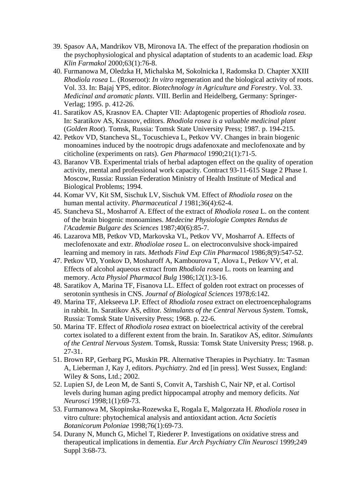- 39. Spasov AA, Mandrikov VB, Mironova IA. The effect of the preparation rhodiosin on the psychophysiological and physical adaptation of students to an academic load. *Eksp Klin Farmakol* 2000;63(1):76-8.
- 40. Furmanowa M, Oledzka H, Michalska M, Sokolnicka I, Radomska D. Chapter XXIII *Rhodiola rosea* L. (Roseroot): *In vitro* regeneration and the biological activity of roots. Vol. 33. In: Bajaj YPS, editor. *Biotechnology in Agriculture and Forestry*. Vol. 33. *Medicinal and aromatic plants*. VIII. Berlin and Heidelberg, Germany: Springer-Verlag; 1995. p. 412-26.
- 41. Saratikov AS, Krasnov EA. Chapter VII: Adaptogenic properties of *Rhodiola rosea*. In: Saratikov AS, Krasnov, editors. *Rhodiola rosea is a valuable medicinal plant*  (*Golden Root*). Tomsk, Russia: Tomsk State University Press; 1987. p. 194-215.
- 42. Petkov VD, Stancheva SL, Tocuschieva L, Petkov VV. Changes in brain biogenic monoamines induced by the nootropic drugs adafenoxate and meclofenoxate and by citicholine (experiments on rats). *Gen Pharmacol* 1990;21(1):71-5.
- 43. Baranov VB. Experimental trials of herbal adaptogen effect on the quality of operation activity, mental and professional work capacity. Contract 93-11-615 Stage 2 Phase I. Moscow, Russia: Russian Federation Ministry of Health Institute of Medical and Biological Problems; 1994.
- 44. Komar VV, Kit SM, Sischuk LV, Sischuk VM. Effect of *Rhodiola rosea* on the human mental activity. *Pharmaceutical J* 1981;36(4):62-4.
- 45. Stancheva SL, Mosharrof A. Effect of the extract of *Rhodiola rosea* L. on the content of the brain biogenic monoamines. *Medecine Physiologie Comptes Rendus de l'Academie Bulgare des Sciences* 1987;40(6):85-7.
- 46. Lazarova MB, Petkov VD, Markovska VL, Petkov VV, Mosharrof A. Effects of meclofenoxate and extr. *Rhodiolae rosea* L. on electroconvulsive shock-impaired learning and memory in rats. *Methods Find Exp Clin Pharmacol* 1986;8(9):547-52.
- 47. Petkov VD, Yonkov D, Mosharoff A, Kambourova T, Alova L, Petkov VV, et al. Effects of alcohol aqueous extract from *Rhodiola rosea* L. roots on learning and memory. *Acta Physiol Pharmacol Bulg* 1986;12(1):3-16.
- 48. Saratikov A, Marina TF, Fisanova LL. Effect of golden root extract on processes of serotonin synthesis in CNS. *Journal of Biological Sciences* 1978;6:142.
- 49. Marina TF, Alekseeva LP. Effect of *Rhodiola rosea* extract on electroencephalograms in rabbit. In. Saratikov AS, editor*. Stimulants of the Central Nervous System*. Tomsk, Russia: Tomsk State University Press; 1968. p. 22-6.
- 50. Marina TF. Effect of *Rhodiola rosea* extract on bioelectrical activity of the cerebral cortex isolated to a different extent from the brain. In. Saratikov AS, editor. *Stimulants of the Central Nervous System*. Tomsk, Russia: Tomsk State University Press; 1968. p. 27-31.
- 51. Brown RP, Gerbarg PG, Muskin PR. Alternative Therapies in Psychiatry. In: Tasman A, Lieberman J, Kay J, editors. *Psychiatry.* 2nd ed [in press]. West Sussex, England: Wiley & Sons, Ltd.; 2002.
- 52. Lupien SJ, de Leon M, de Santi S, Convit A, Tarshish C, Nair NP, et al. Cortisol levels during human aging predict hippocampal atrophy and memory deficits. *Nat Neurosci* 1998;1(1):69-73.
- 53. Furmanowa M, Skopinska-Rozewska E, Rogala E, Malgorzata H. *Rhodiola rosea* in vitro culture: phytochemical analysis and antioxidant action. *Acta Societis Botanicorum Poloniae* 1998;76(1):69-73.
- 54. Durany N, Munch G, Michel T, Riederer P. Investigations on oxidative stress and therapeutical implications in dementia. *Eur Arch Psychiatry Clin Neurosci* 1999;249 Suppl 3:68-73.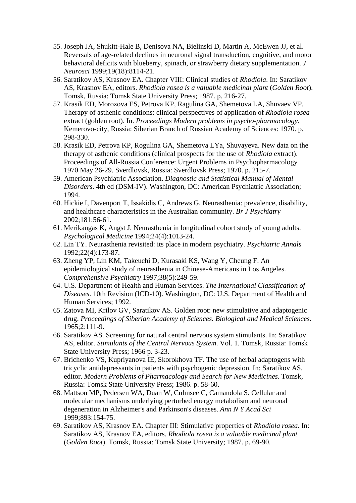- 55. Joseph JA, Shukitt-Hale B, Denisova NA, Bielinski D, Martin A, McEwen JJ, et al. Reversals of age-related declines in neuronal signal transduction, cognitive, and motor behavioral deficits with blueberry, spinach, or strawberry dietary supplementation. *J Neurosci* 1999;19(18):8114-21.
- 56. Saratikov AS, Krasnov EA. Chapter VIII: Clinical studies of *Rhodiola*. In: Saratikov AS, Krasnov EA, editors. *Rhodiola rosea is a valuable medicinal plant* (*Golden Root*). Tomsk, Russia: Tomsk State University Press; 1987. p. 216-27.
- 57. Krasik ED, Morozova ES, Petrova KP, Ragulina GA, Shemetova LA, Shuvaev VP. Therapy of asthenic conditions: clinical perspectives of application of *Rhodiola rosea* extract (golden root). In. *Proceedings Modern problems in psycho-pharmacology.* Kemerovo-city, Russia: Siberian Branch of Russian Academy of Sciences: 1970. p. 298-330.
- 58. Krasik ED, Petrova KP, Rogulina GA, Shemetova LYa, Shuvayeva. New data on the therapy of asthenic conditions (clinical prospects for the use of *Rhodiola* extract). Proceedings of All-Russia Conference: Urgent Problems in Psychopharmacology 1970 May 26-29. Sverdlovsk, Russia: Sverdlovsk Press; 1970. p. 215-7.
- 59. American Psychiatric Association. *Diagnostic and Statistical Manual of Mental Disorders*. 4th ed (DSM-IV). Washington, DC: American Psychiatric Association; 1994.
- 60. Hickie I, Davenport T, Issakidis C, Andrews G. Neurasthenia: prevalence, disability, and healthcare characteristics in the Australian community. *Br J Psychiatry* 2002;181:56-61.
- 61. Merikangas K, Angst J. Neurasthenia in longitudinal cohort study of young adults. *Psychological Medicine* 1994;24(4):1013-24.
- 62. Lin TY. Neurasthenia revisited: its place in modern psychiatry. *Psychiatric Annals* 1992;22(4):173-87.
- 63. Zheng YP, Lin KM, Takeuchi D, Kurasaki KS, Wang Y, Cheung F. An epidemiological study of neurasthenia in Chinese-Americans in Los Angeles. *Comprehensive Psychiatry* 1997;38(5):249-59.
- 64. U.S. Department of Health and Human Services. *The International Classification of Diseases*. 10th Revision (ICD-10). Washington, DC: U.S. Department of Health and Human Services; 1992.
- 65. Zatova MI, Krilov GV, Saratikov AS. Golden root: new stimulative and adaptogenic drug. *Proceedings of Siberian Academy of Sciences. Biological and Medical Sciences*. 1965;2:111-9.
- 66. Saratikov AS. Screening for natural central nervous system stimulants. In: Saratikov AS, editor. *Stimulants of the Central Nervous System*. Vol. 1. Tomsk, Russia: Tomsk State University Press; 1966 p. 3-23.
- 67. Brichenko VS, Kupriyanova IE, Skorokhova TF. The use of herbal adaptogens with tricyclic antidepressants in patients with psychogenic depression. In: Saratikov AS, editor. *Modern Problems of Pharmacology and Search for New Medicines*. Tomsk, Russia: Tomsk State University Press; 1986. p. 58-60.
- 68. Mattson MP, Pedersen WA, Duan W, Culmsee C, Camandola S. Cellular and molecular mechanisms underlying perturbed energy metabolism and neuronal degeneration in Alzheimer's and Parkinson's diseases. *Ann N Y Acad Sci* 1999;893:154-75.
- 69. Saratikov AS, Krasnov EA. Chapter III: Stimulative properties of *Rhodiola rosea*. In: Saratikov AS, Krasnov EA, editors. *Rhodiola rosea is a valuable medicinal plant*  (*Golden Root*). Tomsk, Russia: Tomsk State University; 1987. p. 69-90.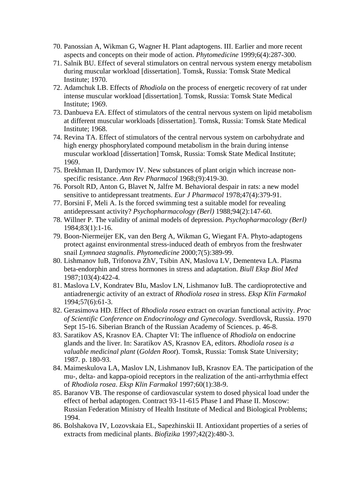- 70. Panossian A, Wikman G, Wagner H. Plant adaptogens. III. Earlier and more recent aspects and concepts on their mode of action. *Phytomedicine* 1999;6(4):287-300.
- 71. Salnik BU. Effect of several stimulators on central nervous system energy metabolism during muscular workload [dissertation]. Tomsk, Russia: Tomsk State Medical Institute; 1970.
- 72. Adamchuk LB. Effects of *Rhodiola* on the process of energetic recovery of rat under intense muscular workload [dissertation]. Tomsk, Russia: Tomsk State Medical Institute; 1969.
- 73. Danbueva EA. Effect of stimulators of the central nervous system on lipid metabolism at different muscular workloads [dissertation]. Tomsk, Russia: Tomsk State Medical Institute; 1968.
- 74. Revina TA. Effect of stimulators of the central nervous system on carbohydrate and high energy phosphorylated compound metabolism in the brain during intense muscular workload [dissertation] Tomsk, Russia: Tomsk State Medical Institute; 1969.
- 75. Brekhman II, Dardymov IV. New substances of plant origin which increase nonspecific resistance. *Ann Rev Pharmacol* 1968;(9):419-30.
- 76. Porsolt RD, Anton G, Blavet N, Jalfre M. Behavioral despair in rats: a new model sensitive to antidepressant treatments. *Eur J Pharmacol* 1978;47(4):379-91.
- 77. Borsini F, Meli A. Is the forced swimming test a suitable model for revealing antidepressant activity? *Psychopharmacology (Berl)* 1988;94(2):147-60.
- 78. Willner P. The validity of animal models of depression. *Psychopharmacology (Berl)* 1984;83(1):1-16.
- 79. Boon-Niermeijer EK, van den Berg A, Wikman G, Wiegant FA. Phyto-adaptogens protect against environmental stress-induced death of embryos from the freshwater snail *Lymnaea stagnalis*. *Phytomedicine* 2000;7(5):389-99.
- 80. Lishmanov IuB, Trifonova ZhV, Tsibin AN, Maslova LV, Dementeva LA. Plasma beta-endorphin and stress hormones in stress and adaptation. *Biull Eksp Biol Med* 1987;103(4):422-4.
- 81. Maslova LV, Kondratev BIu, Maslov LN, Lishmanov IuB. The cardioprotective and antiadrenergic activity of an extract of *Rhodiola rosea* in stress. *Eksp Klin Farmakol* 1994;57(6):61-3.
- 82. Gerasimova HD. Effect of *Rhodiola rosea* extract on ovarian functional activity. *Proc of Scientific Conference on Endocrinology and Gynecology*. Sverdlovsk, Russia. 1970 Sept 15-16. Siberian Branch of the Russian Academy of Sciences. p. 46-8.
- 83. Saratikov AS, Krasnov EA. Chapter VI: The influence of *Rhodiola* on endocrine glands and the liver. In: Saratikov AS, Krasnov EA, editors. *Rhodiola rosea is a valuable medicinal plant* (*Golden Root*). Tomsk, Russia: Tomsk State University; 1987. p. 180-93.
- 84. Maimeskulova LA, Maslov LN, Lishmanov IuB, Krasnov EA. The participation of the mu-, delta- and kappa-opioid receptors in the realization of the anti-arrhythmia effect of *Rhodiola rosea*. *Eksp Klin Farmakol* 1997;60(1):38-9.
- 85. Baranov VB. The response of cardiovascular system to dosed physical load under the effect of herbal adaptogen. Contract 93-11-615 Phase I and Phase II. Moscow: Russian Federation Ministry of Health Institute of Medical and Biological Problems; 1994.
- 86. Bolshakova IV, Lozovskaia EL, Sapezhinskii II. Antioxidant properties of a series of extracts from medicinal plants. *Biofizika* 1997;42(2):480-3.